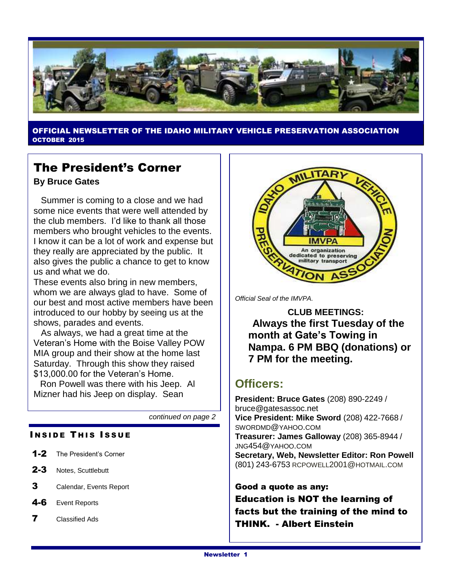

OFFICIAL NEWSLETTER OF THE IDAHO MILITARY VEHICLE PRESERVATION ASSOCIATION OCTOBER 2015

#### The President's Corner

**By Bruce Gates**

 Summer is coming to a close and we had some nice events that were well attended by the club members. I'd like to thank all those members who brought vehicles to the events. I know it can be a lot of work and expense but they really are appreciated by the public. It also gives the public a chance to get to know us and what we do.

These events also bring in new members, whom we are always glad to have. Some of our best and most active members have been introduced to our hobby by seeing us at the shows, parades and events.

 As always, we had a great time at the Veteran's Home with the Boise Valley POW MIA group and their show at the home last Saturday. Through this show they raised \$13,000.00 for the Veteran's Home.

 Ron Powell was there with his Jeep. Al Mizner had his Jeep on display. Sean

*continued on page 2*

#### **INSIDE THIS ISSUE**

- 1-2 The President's Corner
- 2-3 Notes, Scuttlebutt
- 3 Calendar, Events Report
- 4-6 Event Reports
- 7 Classified Ads



*Official Seal of the IMVPA.*

**CLUB MEETINGS: Always the first Tuesday of the month at Gate's Towing in Nampa. 6 PM BBQ (donations) or 7 PM for the meeting.**

#### **Officers:**

**President: Bruce Gates** (208) 890-2249 / bruce@gatesassoc.net **Vice President: Mike Sword** (208) 422-7668 / SWORDMD@YAHOO.COM **Treasurer: James Galloway** (208) 365-8944 / JNG454@YAHOO.COM **Secretary, Web, Newsletter Editor: Ron Powell**  (801) 243-6753 [RCPOWELL](mailto:rcpowell2001@hotmail.com)2001@HOTMAIL.COM

Good a quote as any: Education is NOT the learning of facts but the training of the mind to THINK. - Albert Einstein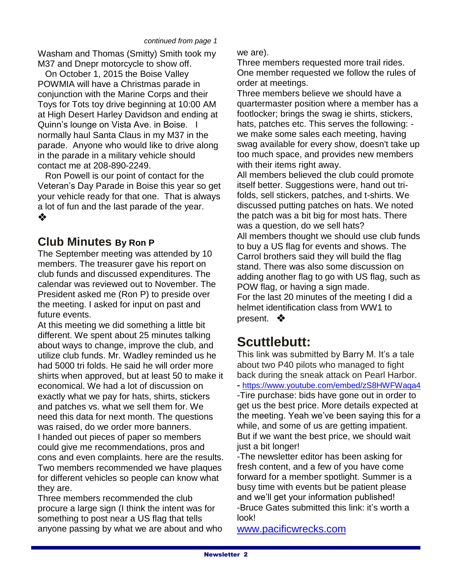Washam and Thomas (Smitty) Smith took my M37 and Dnepr motorcycle to show off.

 On October 1, 2015 the Boise Valley POWMIA will have a Christmas parade in conjunction with the Marine Corps and their Toys for Tots toy drive beginning at 10:00 AM at High Desert Harley Davidson and ending at Quinn's lounge on Vista Ave. in Boise. I normally haul Santa Claus in my M37 in the parade. Anyone who would like to drive along in the parade in a military vehicle should contact me at 208-890-2249.

 Ron Powell is our point of contact for the Veteran's Day Parade in Boise this year so get your vehicle ready for that one. That is always a lot of fun and the last parade of the year. ❖

#### **Club Minutes By Ron P**

The September meeting was attended by 10 members. The treasurer gave his report on club funds and discussed expenditures. The calendar was reviewed out to November. The President asked me (Ron P) to preside over the meeting. I asked for input on past and future events.

At this meeting we did something a little bit different. We spent about 25 minutes talking about ways to change, improve the club, and utilize club funds. Mr. Wadley reminded us he had 5000 tri folds. He said he will order more shirts when approved, but at least 50 to make it economical. We had a lot of discussion on exactly what we pay for hats, shirts, stickers and patches vs. what we sell them for. We need this data for next month. The questions was raised, do we order more banners. I handed out pieces of paper so members could give me recommendations, pros and cons and even complaints. here are the results. Two members recommended we have plaques for different vehicles so people can know what they are.

Three members recommended the club procure a large sign (I think the intent was for something to post near a US flag that tells anyone passing by what we are about and who

#### we are).

Three members requested more trail rides. One member requested we follow the rules of order at meetings.

Three members believe we should have a quartermaster position where a member has a footlocker; brings the swag ie shirts, stickers, hats, patches etc. This serves the following: we make some sales each meeting, having swag available for every show, doesn't take up too much space, and provides new members with their items right away.

All members believed the club could promote itself better. Suggestions were, hand out trifolds, sell stickers, patches, and t-shirts. We discussed putting patches on hats. We noted the patch was a bit big for most hats. There was a question, do we sell hats? All members thought we should use club funds to buy a US flag for events and shows. The

Carrol brothers said they will build the flag stand. There was also some discussion on adding another flag to go with US flag, such as POW flag, or having a sign made. For the last 20 minutes of the meeting I did a helmet identification class from WW1 to present. ❖

### **Scuttlebutt:**

This link was submitted by Barry M. It's a tale about two P40 pilots who managed to fight back during the sneak attack on Pearl Harbor. **-** <https://www.youtube.com/embed/zS8HWFWaqa4> -Tire purchase: bids have gone out in order to get us the best price. More details expected at the meeting. Yeah we've been saying this for a while, and some of us are getting impatient. But if we want the best price, we should wait just a bit longer!

-The newsletter editor has been asking for fresh content, and a few of you have come forward for a member spotlight. Summer is a busy time with events but be patient please and we'll get your information published! -Bruce Gates submitted this link: it's worth a look!

[www.pacificwrecks.com](http://www.pacificwrecks.com/)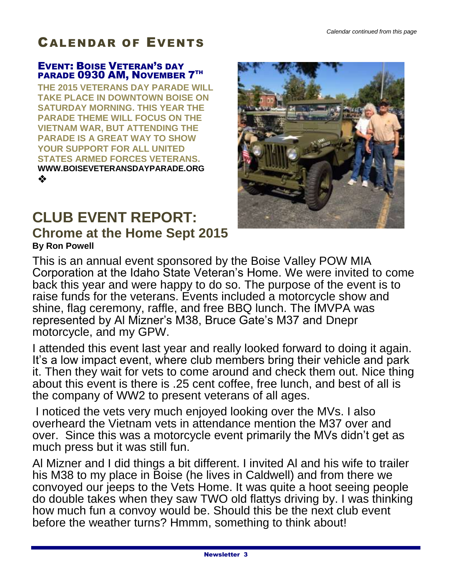## CALENDAR OF EVENTS

#### EVENT: BOISE VETERAN'S DAY PARADE 0930 AM, NOVEMBER 7TH

**THE 2015 VETERANS DAY PARADE WILL TAKE PLACE IN DOWNTOWN BOISE ON SATURDAY MORNING. THIS YEAR THE PARADE THEME WILL FOCUS ON THE VIETNAM WAR, BUT ATTENDING THE PARADE IS A GREAT WAY TO SHOW YOUR SUPPORT FOR ALL UNITED STATES ARMED FORCES VETERANS. WWW.BOISEVETERANSDAYPARADE.ORG** ❖

## **CLUB EVENT REPORT: Chrome at the Home Sept 2015 By Ron Powell**



This is an annual event sponsored by the Boise Valley POW MIA Corporation at the Idaho State Veteran's Home. We were invited to come back this year and were happy to do so. The purpose of the event is to raise funds for the veterans. Events included a motorcycle show and shine, flag ceremony, raffle, and free BBQ lunch. The IMVPA was represented by Al Mizner's M38, Bruce Gate's M37 and Dnepr motorcycle, and my GPW.

I attended this event last year and really looked forward to doing it again. It's a low impact event, where club members bring their vehicle and park it. Then they wait for vets to come around and check them out. Nice thing about this event is there is .25 cent coffee, free lunch, and best of all is the company of WW2 to present veterans of all ages.

I noticed the vets very much enjoyed looking over the MVs. I also overheard the Vietnam vets in attendance mention the M37 over and over. Since this was a motorcycle event primarily the MVs didn't get as much press but it was still fun.

Al Mizner and I did things a bit different. I invited Al and his wife to trailer his M38 to my place in Boise (he lives in Caldwell) and from there we convoyed our jeeps to the Vets Home. It was quite a hoot seeing people do double takes when they saw TWO old flattys driving by. I was thinking how much fun a convoy would be. Should this be the next club event before the weather turns? Hmmm, something to think about!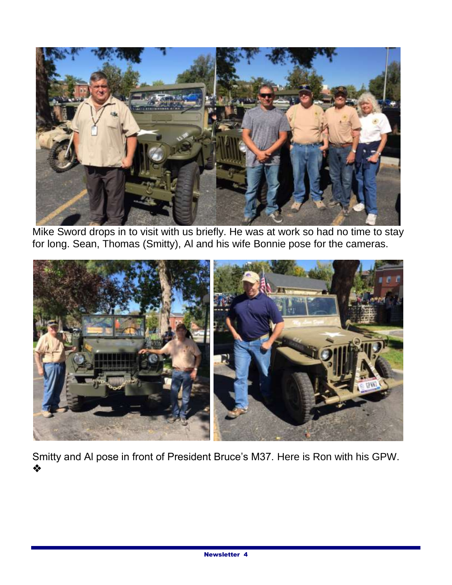

Mike Sword drops in to visit with us briefly. He was at work so had no time to stay for long. Sean, Thomas (Smitty), Al and his wife Bonnie pose for the cameras.



Smitty and Al pose in front of President Bruce's M37. Here is Ron with his GPW. ❖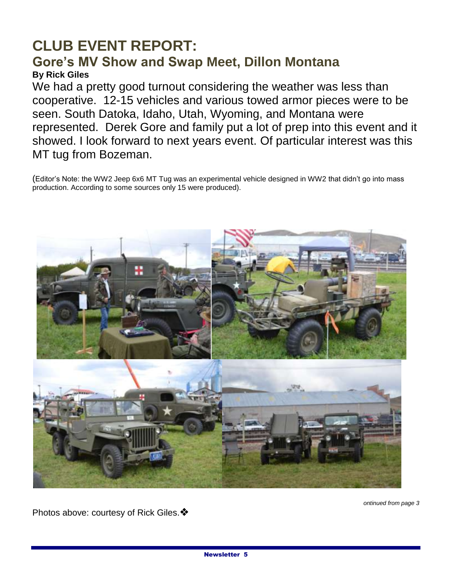#### **CLUB EVENT REPORT: Gore's MV Show and Swap Meet, Dillon Montana By Rick Giles**

We had a pretty good turnout considering the weather was less than cooperative. 12-15 vehicles and various towed armor pieces were to be seen. South Datoka, Idaho, Utah, Wyoming, and Montana were represented. Derek Gore and family put a lot of prep into this event and it showed. I look forward to next years event. Of particular interest was this MT tug from Bozeman.

(Editor's Note: the WW2 Jeep 6x6 MT Tug was an experimental vehicle designed in WW2 that didn't go into mass production. According to some sources only 15 were produced).



*ontinued from page 3*

Photos above: courtesy of Rick Giles. ♦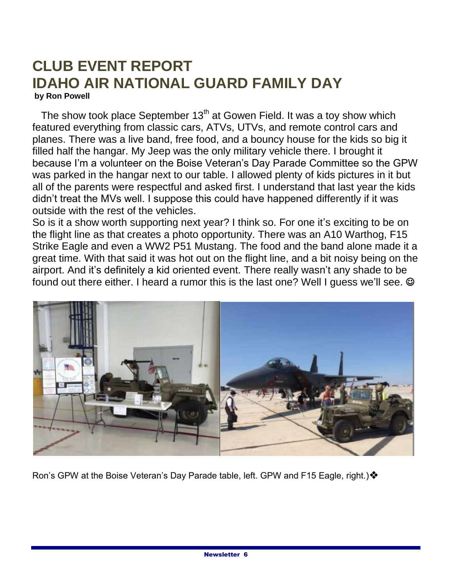## **CLUB EVENT REPORT IDAHO AIR NATIONAL GUARD FAMILY DAY by Ron Powell**

The show took place September  $13<sup>th</sup>$  at Gowen Field. It was a toy show which featured everything from classic cars, ATVs, UTVs, and remote control cars and planes. There was a live band, free food, and a bouncy house for the kids so big it filled half the hangar. My Jeep was the only military vehicle there. I brought it because I'm a volunteer on the Boise Veteran's Day Parade Committee so the GPW was parked in the hangar next to our table. I allowed plenty of kids pictures in it but all of the parents were respectful and asked first. I understand that last year the kids didn't treat the MVs well. I suppose this could have happened differently if it was outside with the rest of the vehicles.

So is it a show worth supporting next year? I think so. For one it's exciting to be on the flight line as that creates a photo opportunity. There was an A10 Warthog, F15 Strike Eagle and even a WW2 P51 Mustang. The food and the band alone made it a great time. With that said it was hot out on the flight line, and a bit noisy being on the airport. And it's definitely a kid oriented event. There really wasn't any shade to be found out there either. I heard a rumor this is the last one? Well I guess we'll see.  $\odot$ 



Ron's GPW at the Boise Veteran's Day Parade table, left. GPW and F15 Eagle, right.) ♦